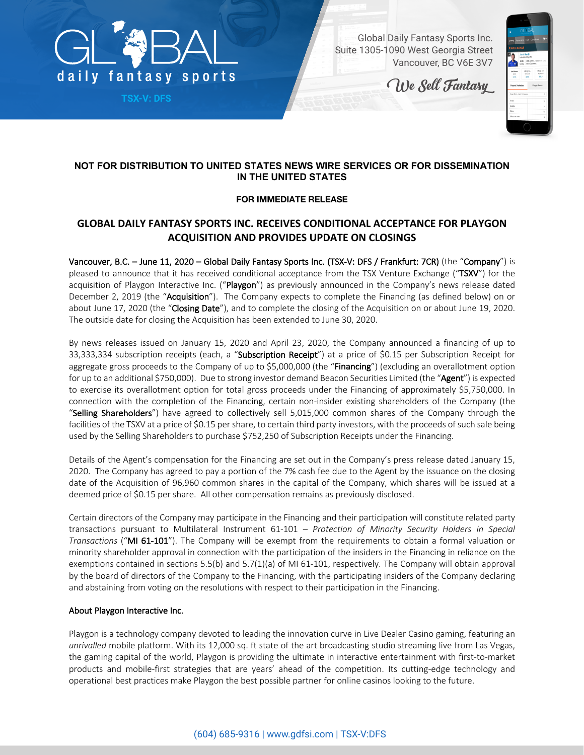

**TSX-V: DFS**

Global Daily Fantasy Sports Inc. Suite 1305-1090 West Georgia Street Vancouver, BC V6E 3V7

We Sell Fantasy

| ×                             | <b>GL</b> BAL                                              |                                  |
|-------------------------------|------------------------------------------------------------|----------------------------------|
| Lobby Upcoming Live Completed |                                                            | $\theta$                         |
| <b>PLAYER DETAILS</b>         |                                                            |                                  |
|                               | Jamie Vardy<br>Leicester City   #9<br>Salary Next Opponent | \$100   LFC @ SWA 1200pm ET 1312 |
| Led Season<br><b>SEIS</b>     | UC e FU.<br>131216                                         | URLG KIV<br>10/25/20             |
| 27.5                          | 22.5                                                       | 11.0                             |
| <b>Recent Statistics</b>      |                                                            | <b>Player News</b>               |
| Stap Shot-Last 10 Games       |                                                            | ٠                                |
| Grain                         |                                                            | 10                               |
| Assista                       |                                                            | ĸ                                |
|                               |                                                            | 12                               |
| Shops:                        |                                                            |                                  |

# **NOT FOR DISTRIBUTION TO UNITED STATES NEWS WIRE SERVICES OR FOR DISSEMINATION IN THE UNITED STATES**

## **FOR IMMEDIATE RELEASE**

# **GLOBAL DAILY FANTASY SPORTS INC. RECEIVES CONDITIONAL ACCEPTANCE FOR PLAYGON ACQUISITION AND PROVIDES UPDATE ON CLOSINGS**

Vancouver, B.C. – June 11, 2020 – Global Daily Fantasy Sports Inc. (TSX-V: DFS / Frankfurt: 7CR) (the "Company") is pleased to announce that it has received conditional acceptance from the TSX Venture Exchange ("TSXV") for the acquisition of Playgon Interactive Inc. ("Playgon") as previously announced in the Company's news release dated December 2, 2019 (the "Acquisition"). The Company expects to complete the Financing (as defined below) on or about June 17, 2020 (the "Closing Date"), and to complete the closing of the Acquisition on or about June 19, 2020. The outside date for closing the Acquisition has been extended to June 30, 2020.

By news releases issued on January 15, 2020 and April 23, 2020, the Company announced a financing of up to 33,333,334 subscription receipts (each, a "Subscription Receipt") at a price of \$0.15 per Subscription Receipt for aggregate gross proceeds to the Company of up to \$5,000,000 (the "Financing") (excluding an overallotment option for up to an additional \$750,000). Due to strong investor demand Beacon Securities Limited (the "Agent") is expected to exercise its overallotment option for total gross proceeds under the Financing of approximately \$5,750,000. In connection with the completion of the Financing, certain non-insider existing shareholders of the Company (the "Selling Shareholders") have agreed to collectively sell 5,015,000 common shares of the Company through the facilities of the TSXV at a price of \$0.15 per share, to certain third party investors, with the proceeds of such sale being used by the Selling Shareholders to purchase \$752,250 of Subscription Receipts under the Financing.

Details of the Agent's compensation for the Financing are set out in the Company's press release dated January 15, 2020. The Company has agreed to pay a portion of the 7% cash fee due to the Agent by the issuance on the closing date of the Acquisition of 96,960 common shares in the capital of the Company, which shares will be issued at a deemed price of \$0.15 per share. All other compensation remains as previously disclosed.

Certain directors of the Company may participate in the Financing and their participation will constitute related party transactions pursuant to Multilateral Instrument 61-101 – *Protection of Minority Security Holders in Special Transactions* ("MI 61-101"). The Company will be exempt from the requirements to obtain a formal valuation or minority shareholder approval in connection with the participation of the insiders in the Financing in reliance on the exemptions contained in sections 5.5(b) and 5.7(1)(a) of MI 61-101, respectively. The Company will obtain approval by the board of directors of the Company to the Financing, with the participating insiders of the Company declaring and abstaining from voting on the resolutions with respect to their participation in the Financing.

## About Playgon Interactive Inc.

Playgon is a technology company devoted to leading the innovation curve in Live Dealer Casino gaming, featuring an *unrivalled* mobile platform. With its 12,000 sq. ft state of the art broadcasting studio streaming live from Las Vegas, the gaming capital of the world, Playgon is providing the ultimate in interactive entertainment with first-to-market products and mobile-first strategies that are years' ahead of the competition. Its cutting-edge technology and operational best practices make Playgon the best possible partner for online casinos looking to the future.